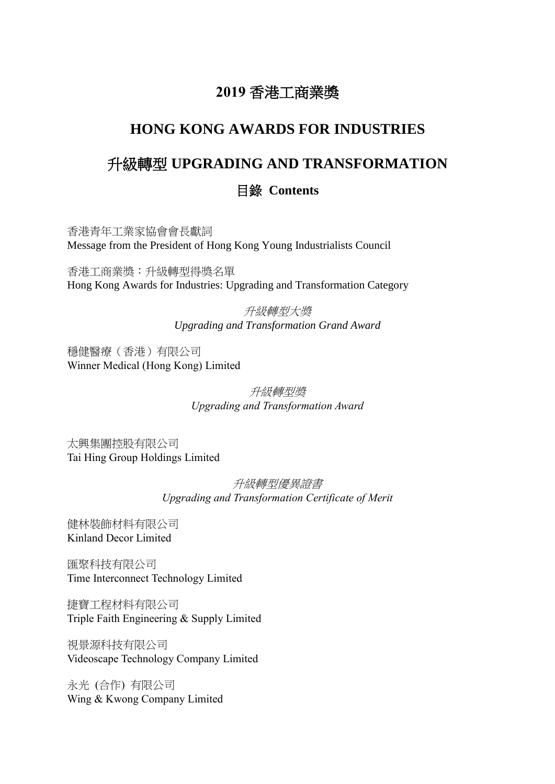# **2019** 香港工商業獎

## **HONG KONG AWARDS FOR INDUSTRIES**

# 升級轉型 **UPGRADING AND TRANSFORMATION**

### 目錄 **Contents**

香港青年工業家協會會長獻詞 Message from the President of Hong Kong Young Industrialists Council

香港工商業獎:升級轉型得獎名單 Hong Kong Awards for Industries: Upgrading and Transformation Category

> 升級轉型大獎 *Upgrading and Transformation Grand Award*

穩健醫療(香港)有限公司 Winner Medical (Hong Kong) Limited

> 升級轉型獎 *Upgrading and Transformation Award*

太興集團控股有限公司 Tai Hing Group Holdings Limited

> 升級轉型優異證書 *Upgrading and Transformation Certificate of Merit*

健林裝飾材料有限公司 Kinland Decor Limited

匯聚科技有限公司 Time Interconnect Technology Limited

捷寶工程材料有限公司 Triple Faith Engineering & Supply Limited

視景源科技有限公司 Videoscape Technology Company Limited

永光 (合作) 有限公司 Wing & Kwong Company Limited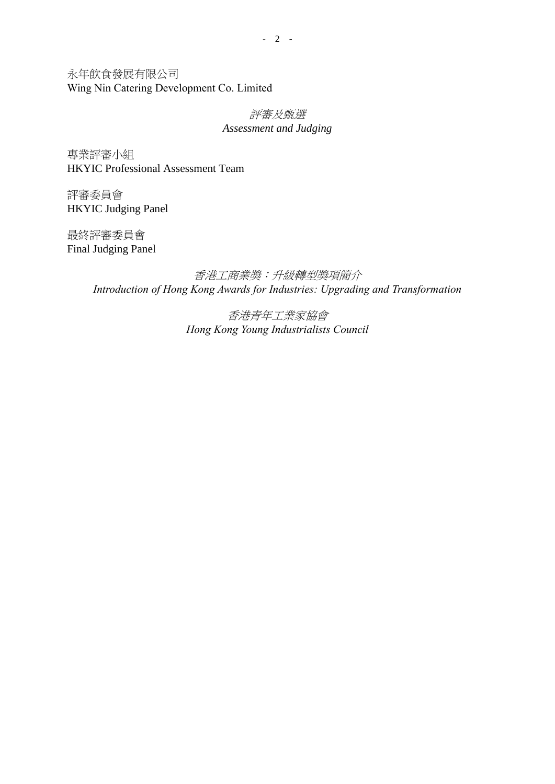永年飲食發展有限公司 Wing Nin Catering Development Co. Limited

#### 評審及甄選 *Assessment and Judging*

專業評審小組 HKYIC Professional Assessment Team

評審委員會 HKYIC Judging Panel

最終評審委員會 Final Judging Panel

> 香港工商業獎:升級轉型獎項簡介 *Introduction of Hong Kong Awards for Industries: Upgrading and Transformation*

> > 香港青年工業家協會 *Hong Kong Young Industrialists Council*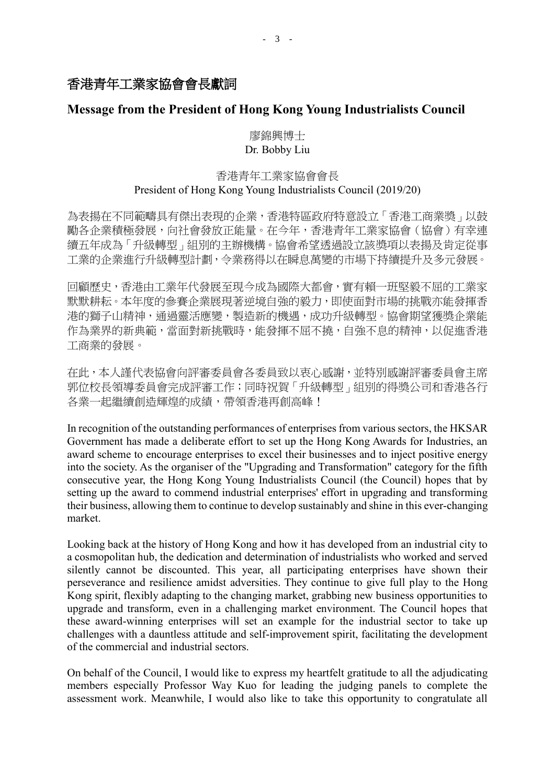### 香港青年工業家協會會長獻詞

### **Message from the President of Hong Kong Young Industrialists Council**

### 廖錦興博士 Dr. Bobby Liu

### 香港青年工業家協會會長 President of Hong Kong Young Industrialists Council (2019/20)

為表揚在不同範疇具有傑出表現的企業,香港特區政府特意設立「香港工商業獎」以鼓 勵各企業積極發展,向社會發放正能量。在今年,香港青年工業家協會(協會)有幸連 續五年成為「升級轉型」組別的主辦機構。協會希望透過設立該獎項以表揚及肯定從事 工業的企業進行升級轉型計劃,令業務得以在瞬息萬變的市場下持續提升及多元發展。

回顧歷史,香港由工業年代發展至現今成為國際大都會,實有賴一班堅毅不屈的工業家 默默耕耘。本年度的參賽企業展現著逆境自強的毅力,即使面對市場的挑戰亦能發揮香 港的獅子山精神,通過靈活應變,製造新的機遇,成功升級轉型。協會期望獲獎企業能 作為業界的新典範,當面對新挑戰時,能發揮不屈不撓,自強不息的精神,以促進香港 工商業的發展。

在此,本人謹代表協會向評審委員會各委員致以衷心感謝,並特別感謝評審委員會主席 郭位校長領導委員會完成評審工作;同時祝賀「升級轉型」組別的得獎公司和香港各行 各業一起繼續創造輝煌的成績,帶領香港再創高峰!

In recognition of the outstanding performances of enterprises from various sectors, the HKSAR Government has made a deliberate effort to set up the Hong Kong Awards for Industries, an award scheme to encourage enterprises to excel their businesses and to inject positive energy into the society. As the organiser of the "Upgrading and Transformation" category for the fifth consecutive year, the Hong Kong Young Industrialists Council (the Council) hopes that by setting up the award to commend industrial enterprises' effort in upgrading and transforming their business, allowing them to continue to develop sustainably and shine in this ever-changing market.

Looking back at the history of Hong Kong and how it has developed from an industrial city to a cosmopolitan hub, the dedication and determination of industrialists who worked and served silently cannot be discounted. This year, all participating enterprises have shown their perseverance and resilience amidst adversities. They continue to give full play to the Hong Kong spirit, flexibly adapting to the changing market, grabbing new business opportunities to upgrade and transform, even in a challenging market environment. The Council hopes that these award-winning enterprises will set an example for the industrial sector to take up challenges with a dauntless attitude and self-improvement spirit, facilitating the development of the commercial and industrial sectors.

On behalf of the Council, I would like to express my heartfelt gratitude to all the adjudicating members especially Professor Way Kuo for leading the judging panels to complete the assessment work. Meanwhile, I would also like to take this opportunity to congratulate all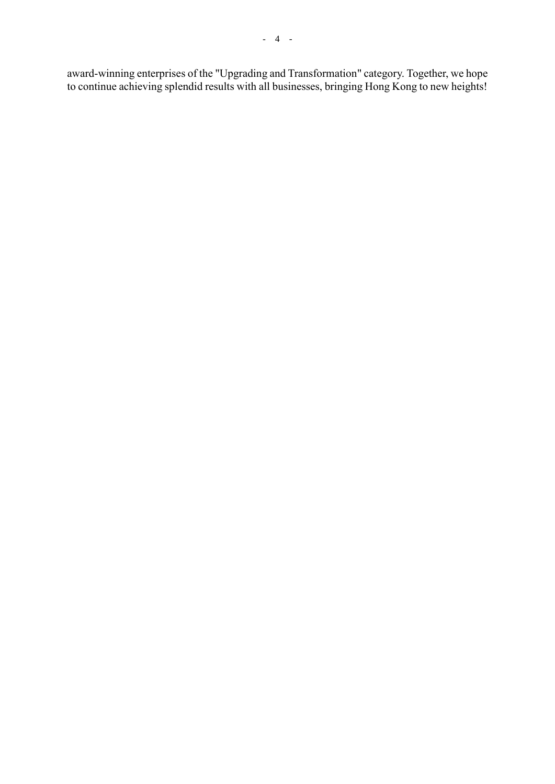award-winning enterprises of the "Upgrading and Transformation" category. Together, we hope to continue achieving splendid results with all businesses, bringing Hong Kong to new heights!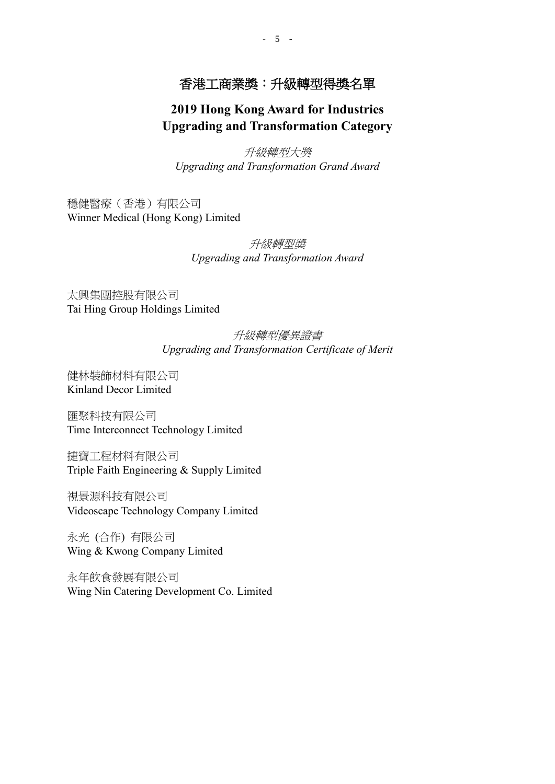## 香港工商業獎:升級轉型得獎名單

## **2019 Hong Kong Award for Industries Upgrading and Transformation Category**

升級轉型大獎 *Upgrading and Transformation Grand Award*

穩健醫療(香港)有限公司 Winner Medical (Hong Kong) Limited

> 升級轉型獎 *Upgrading and Transformation Award*

太興集團控股有限公司 Tai Hing Group Holdings Limited

### 升級轉型優異證書 *Upgrading and Transformation Certificate of Merit*

健林裝飾材料有限公司 Kinland Decor Limited

匯聚科技有限公司 Time Interconnect Technology Limited

捷寶工程材料有限公司 Triple Faith Engineering & Supply Limited

視景源科技有限公司 Videoscape Technology Company Limited

永光 (合作) 有限公司 Wing & Kwong Company Limited

永年飲食發展有限公司 Wing Nin Catering Development Co. Limited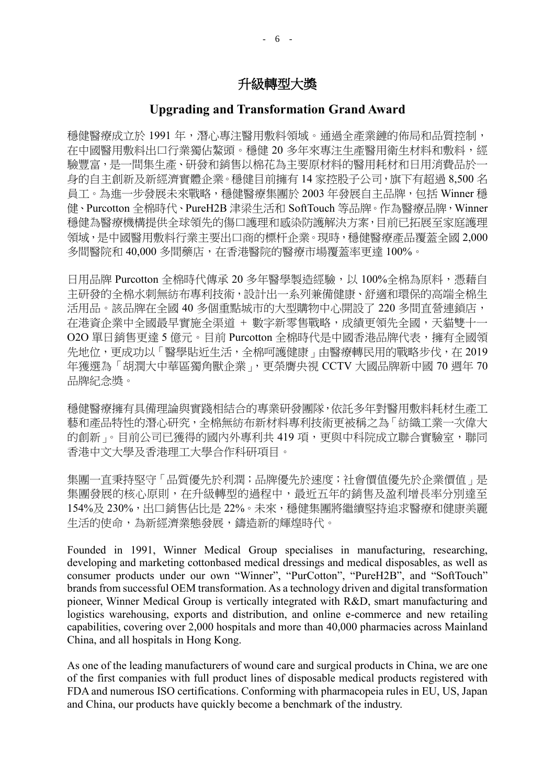#### 升級轉型大獎

#### **Upgrading and Transformation Grand Award**

穩健醫療成立於 1991 年,潛心專注醫用敷料領域。通過全產業鏈的佈局和品質控制, 在中國醫用敷料出口行業獨佔鰲頭。穩健 20 多年來專注生產醫用衛生材料和敷料,經 験豐富,是一間集生產、研發和銷售以棉花為主要原材料的醫用耗材和日用消費品於一 身的自主創新及新經濟實體企業。穩健目前擁有 14 家控股子公司,旗下有超過 8,500 名 員工。為進一步發展未來戰略,穩健醫療集團於 2003 年發展自主品牌,包括 Winner 穩 健、Purcotton 全棉時代、PureH2B 津梁生活和 SoftTouch 等品牌。作為醫療品牌,Winner 穩健為醫療機構提供全球領先的傷口護理和感染防護解決方案,目前已拓展至家庭護理 領域,是中國醫用敷料行業主要出口商的標杆企業。現時,穩健醫療產品覆蓋全國 2,000 多間醫院和 40,000 多間藥店,在香港醫院的醫療市場覆蓋率更達 100%。

日用品牌 Purcotton 全棉時代傳承 20 多年醫學製造經驗,以 100%全棉為原料,憑藉自 主研發的全棉水刺無紡布專利技術,設計出一系列兼備健康、舒適和環保的高端全棉生 活用品。該品牌在全國 40 多個重點城市的大型購物中心開設了 220 多間直營連鎖店, 在港資企業中全國最早實施全渠道 + 數字新零售戰略,成績更領先全國,天貓雙十一 O2O 單日銷售更達 5 億元。目前 Purcotton 全棉時代是中國香港品牌代表,擁有全國領 先地位,更成功以「醫學貼近生活,全棉呵護健康」由醫療轉民用的戰略步伐,在 2019 年獲選為「胡潤大中華區獨角獸企業」,更榮膺央視 CCTV 大國品牌新中國 70 週年 70 品牌紀念獎。

穩健醫療擁有具備理論與實踐相結合的專業研發團隊,依託多年對醫用敷料耗材生產工 藝和產品特性的潛心研究,全棉無紡布新材料專利技術更被稱之為「紡織工業一次偉大 的創新」。目前公司已獲得的國內外專利共 419 項,更與中科院成立聯合實驗室,聯同 香港中文大學及香港理工大學合作科研項目。

集團一直秉持堅守「品質優先於利潤;品牌優先於速度;社會價值優先於企業價值」是 集團發展的核心原則,在升級轉型的過程中,最近五年的銷售及盈利增長率分別達至 154%及 230%,出口銷售佔比是 22%。未來,穩健集團將繼續堅持追求醫療和健康美麗 生活的使命,為新經濟業態發展,鑄造新的輝煌時代。

Founded in 1991, Winner Medical Group specialises in manufacturing, researching, developing and marketing cottonbased medical dressings and medical disposables, as well as consumer products under our own "Winner", "PurCotton", "PureH2B", and "SoftTouch" brands from successful OEM transformation. As a technology driven and digital transformation pioneer, Winner Medical Group is vertically integrated with R&D, smart manufacturing and logistics warehousing, exports and distribution, and online e-commerce and new retailing capabilities, covering over 2,000 hospitals and more than 40,000 pharmacies across Mainland China, and all hospitals in Hong Kong.

As one of the leading manufacturers of wound care and surgical products in China, we are one of the first companies with full product lines of disposable medical products registered with FDA and numerous ISO certifications. Conforming with pharmacopeia rules in EU, US, Japan and China, our products have quickly become a benchmark of the industry.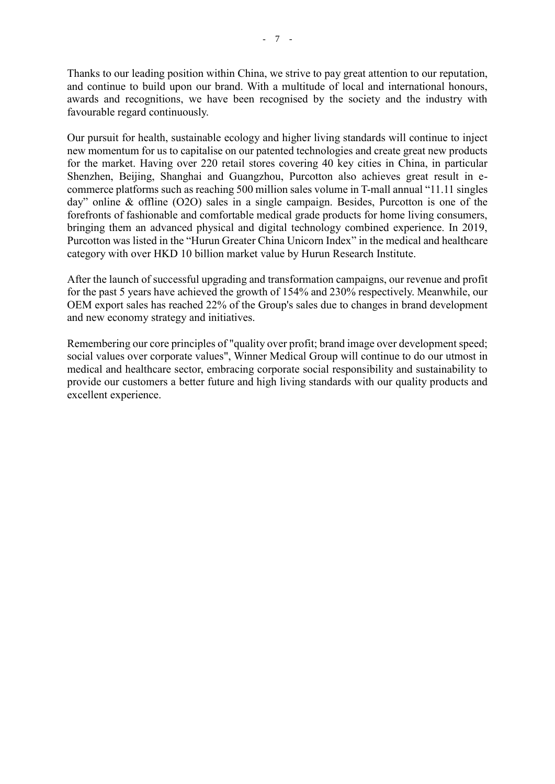Thanks to our leading position within China, we strive to pay great attention to our reputation, and continue to build upon our brand. With a multitude of local and international honours, awards and recognitions, we have been recognised by the society and the industry with favourable regard continuously.

Our pursuit for health, sustainable ecology and higher living standards will continue to inject new momentum for us to capitalise on our patented technologies and create great new products for the market. Having over 220 retail stores covering 40 key cities in China, in particular Shenzhen, Beijing, Shanghai and Guangzhou, Purcotton also achieves great result in ecommerce platforms such as reaching 500 million sales volume in T-mall annual "11.11 singles day" online & offline (O2O) sales in a single campaign. Besides, Purcotton is one of the forefronts of fashionable and comfortable medical grade products for home living consumers, bringing them an advanced physical and digital technology combined experience. In 2019, Purcotton was listed in the "Hurun Greater China Unicorn Index" in the medical and healthcare category with over HKD 10 billion market value by Hurun Research Institute.

After the launch of successful upgrading and transformation campaigns, our revenue and profit for the past 5 years have achieved the growth of 154% and 230% respectively. Meanwhile, our OEM export sales has reached 22% of the Group's sales due to changes in brand development and new economy strategy and initiatives.

Remembering our core principles of "quality over profit; brand image over development speed; social values over corporate values", Winner Medical Group will continue to do our utmost in medical and healthcare sector, embracing corporate social responsibility and sustainability to provide our customers a better future and high living standards with our quality products and excellent experience.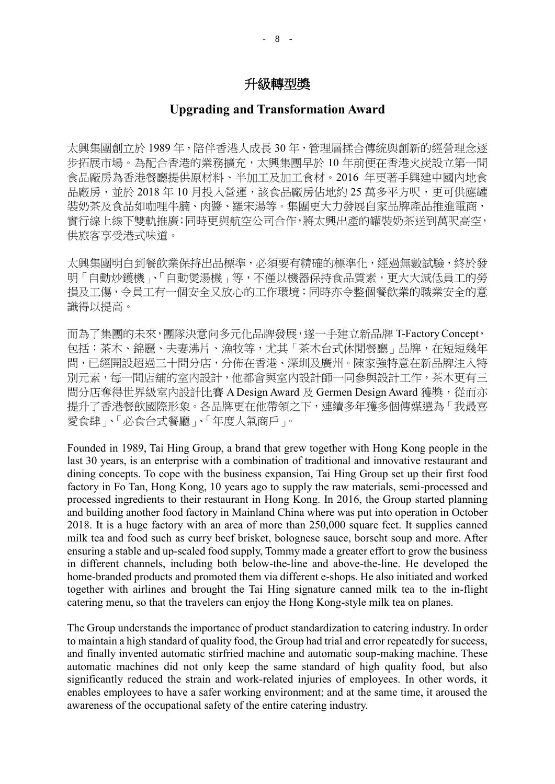### 升級轉型獎

### **Upgrading and Transformation Award**

太興集團創立於 1989年, 陪伴香港人成長 30年, 管理層揉合傳統與創新的經營理念逐 步拓展市場。為配合香港的業務擴充,太興集團早於 10 年前便在香港火炭設立第一間 食品廠房為香港餐廳提供原材料、半加工及加工食材。2016 年更著手興建中國內地食 品廠房,並於 2018年10月投入營運,該食品廠房佔地約 25 萬多平方呎,更可供應罐 裝奶茶及食品如咖哩牛腩、肉醬、羅宋湯等。集團更大力發展自家品牌產品推進電商, 實行線上線下雙軌推廣;同時更與航空公司合作,將太興出產的罐裝奶茶送到萬呎高空, 供旅客享受港式味道。

太興集團明白到餐飲業保持出品標準,必須要有精確的標準化,經過無數試驗,終於發 明「自動炒鑊機」、「自動煲湯機」等,不僅以機器保持食品質素,更大大減低員工的勞 損及工傷,令員工有一個安全又放心的工作環境;同時亦令整個餐飲業的職業安全的意 識得以提高。

而為了集團的未來,團隊決意向多元化品牌發展,遂一手建立新品牌 T-Factory Concept, 包括:茶木、錦麗、夫妻沸片、漁牧等,尤其「茶木台式休閒餐廳」品牌,在短短幾年 間,已經開設超過三十間分店,分佈在香港、深圳及廣州。陳家強特意在新品牌注入特 別元素,每一間店舖的室內設計,他都會與室內設計師一同參與設計工作,茶木更有三 間分店奪得世界級室內設計比賽 A Design Award 及 Germen Design Award 獲獎, 從而亦 提升了香港餐飲國際形象。各品牌更在他帶領之下,連續多年獲多個傳媒選為「我最喜 愛食肆」、「必食台式餐廳」、「年度人氣商戶」。

Founded in 1989, Tai Hing Group, a brand that grew together with Hong Kong people in the last 30 years, is an enterprise with a combination of traditional and innovative restaurant and dining concepts. To cope with the business expansion, Tai Hing Group set up their first food factory in Fo Tan, Hong Kong, 10 years ago to supply the raw materials, semi-processed and processed ingredients to their restaurant in Hong Kong. In 2016, the Group started planning and building another food factory in Mainland China where was put into operation in October 2018. It is a huge factory with an area of more than 250,000 square feet. It supplies canned milk tea and food such as curry beef brisket, bolognese sauce, borscht soup and more. After ensuring a stable and up-scaled food supply, Tommy made a greater effort to grow the business in different channels, including both below-the-line and above-the-line. He developed the home-branded products and promoted them via different e-shops. He also initiated and worked together with airlines and brought the Tai Hing signature canned milk tea to the in-flight catering menu, so that the travelers can enjoy the Hong Kong-style milk tea on planes.

The Group understands the importance of product standardization to catering industry. In order to maintain a high standard of quality food, the Group had trial and error repeatedly for success, and finally invented automatic stirfried machine and automatic soup-making machine. These automatic machines did not only keep the same standard of high quality food, but also significantly reduced the strain and work-related injuries of employees. In other words, it enables employees to have a safer working environment; and at the same time, it aroused the awareness of the occupational safety of the entire catering industry.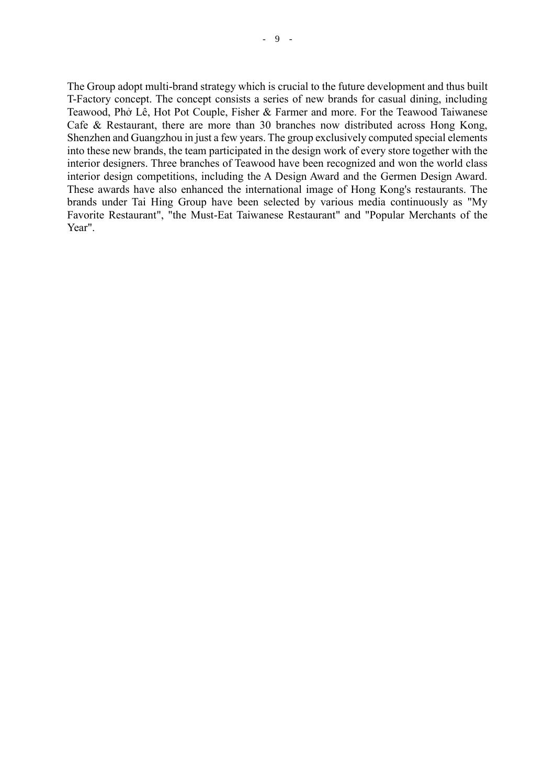The Group adopt multi-brand strategy which is crucial to the future development and thus built T-Factory concept. The concept consists a series of new brands for casual dining, including Teawood, Phở Lê, Hot Pot Couple, Fisher & Farmer and more. For the Teawood Taiwanese Cafe & Restaurant, there are more than 30 branches now distributed across Hong Kong, Shenzhen and Guangzhou in just a few years. The group exclusively computed special elements into these new brands, the team participated in the design work of every store together with the interior designers. Three branches of Teawood have been recognized and won the world class interior design competitions, including the A Design Award and the Germen Design Award. These awards have also enhanced the international image of Hong Kong's restaurants. The brands under Tai Hing Group have been selected by various media continuously as "My Favorite Restaurant", "the Must-Eat Taiwanese Restaurant" and "Popular Merchants of the Year".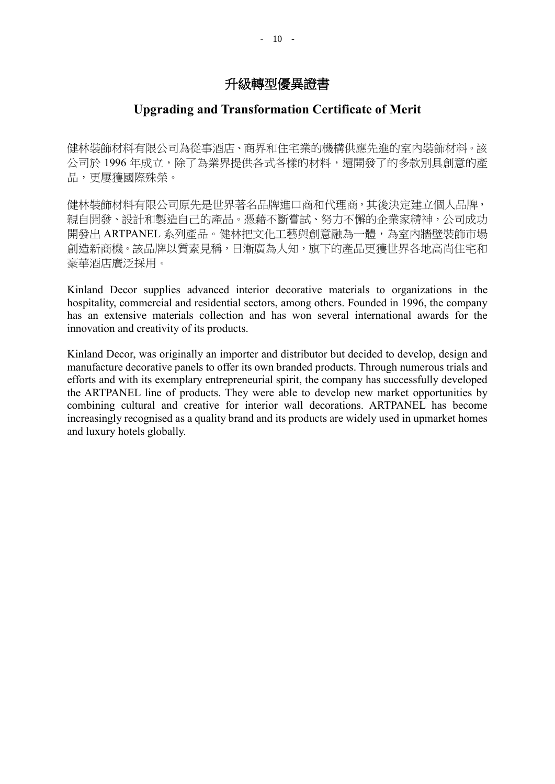### **Upgrading and Transformation Certificate of Merit**

健林裝飾材料有限公司為從事酒店、商界和住宅業的機構供應先進的室內裝飾材料。該 公司於 1996年成立,除了為業界提供各式各樣的材料,還開發了的多款別具創意的產 品,更屢獲國際殊榮。

健林裝飾材料有限公司原先是世界著名品牌進口商和代理商,其後決定建立個人品牌, 親自開發、設計和製造自己的產品。憑藉不斷嘗試、努力不懈的企業家精神,公司成功 開發出 ARTPANEL 系列產品。健林把文化工藝與創意融為一體,為室內牆壁裝飾市場 創造新商機。該品牌以質素見稱,日漸廣為人知,旗下的產品更獲世界各地高尚住宅和 豪華酒店廣泛採用。

Kinland Decor supplies advanced interior decorative materials to organizations in the hospitality, commercial and residential sectors, among others. Founded in 1996, the company has an extensive materials collection and has won several international awards for the innovation and creativity of its products.

Kinland Decor, was originally an importer and distributor but decided to develop, design and manufacture decorative panels to offer its own branded products. Through numerous trials and efforts and with its exemplary entrepreneurial spirit, the company has successfully developed the ARTPANEL line of products. They were able to develop new market opportunities by combining cultural and creative for interior wall decorations. ARTPANEL has become increasingly recognised as a quality brand and its products are widely used in upmarket homes and luxury hotels globally.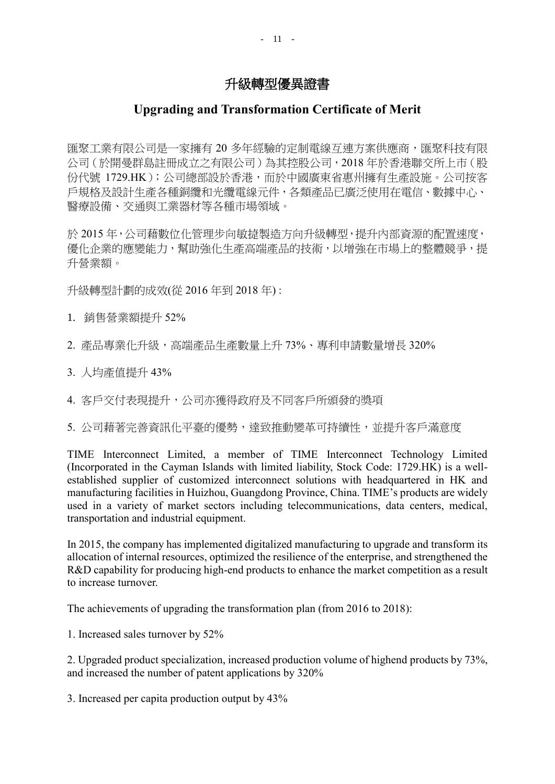## **Upgrading and Transformation Certificate of Merit**

匯聚工業有限公司是一家擁有 20 多年經驗的定制電線互連方案供應商,匯聚科技有限 公司(於開曼群島註冊成立之有限公司)為其控股公司,2018 年於香港聯交所上市(股 份代號 1729.HK);公司總部設於香港,而於中國廣東省惠州擁有生產設施。公司按客 戶規格及設計生產各種銅纜和光纜電線元件,各類產品已廣泛使用在電信、數據中心、 醫療設備、交通與工業器材等各種市場領域。

於 2015年,公司藉數位化管理步向敏捷製造方向升級轉型,提升內部資源的配置速度, 優化企業的應變能力,幫助強化生產高端產品的技術,以增強在市場上的整體競爭,提 升營業額。

升級轉型計劃的成效(從 2016 年到 2018 年) :

- 1. 銷售營業額提升 52%
- 2. 產品專業化升級,高端產品生產數量上升 73%、專利申請數量增長 320%
- 3. 人均產值提升 43%
- 4. 客戶交付表現提升,公司亦獲得政府及不同客戶所頒發的獎項

5. 公司藉著完善資訊化平臺的優勢,達致推動變革可持續性,並提升客戶滿意度

TIME Interconnect Limited, a member of TIME Interconnect Technology Limited (Incorporated in the Cayman Islands with limited liability, Stock Code: 1729.HK) is a wellestablished supplier of customized interconnect solutions with headquartered in HK and manufacturing facilities in Huizhou, Guangdong Province, China. TIME's products are widely used in a variety of market sectors including telecommunications, data centers, medical, transportation and industrial equipment.

In 2015, the company has implemented digitalized manufacturing to upgrade and transform its allocation of internal resources, optimized the resilience of the enterprise, and strengthened the R&D capability for producing high-end products to enhance the market competition as a result to increase turnover.

The achievements of upgrading the transformation plan (from 2016 to 2018):

1. Increased sales turnover by 52%

2. Upgraded product specialization, increased production volume of highend products by 73%, and increased the number of patent applications by 320%

3. Increased per capita production output by 43%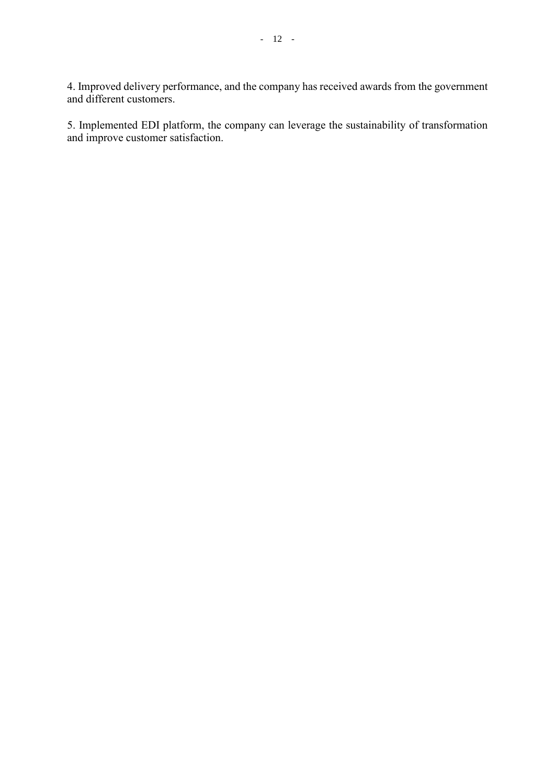4. Improved delivery performance, and the company has received awards from the government and different customers.

5. Implemented EDI platform, the company can leverage the sustainability of transformation and improve customer satisfaction.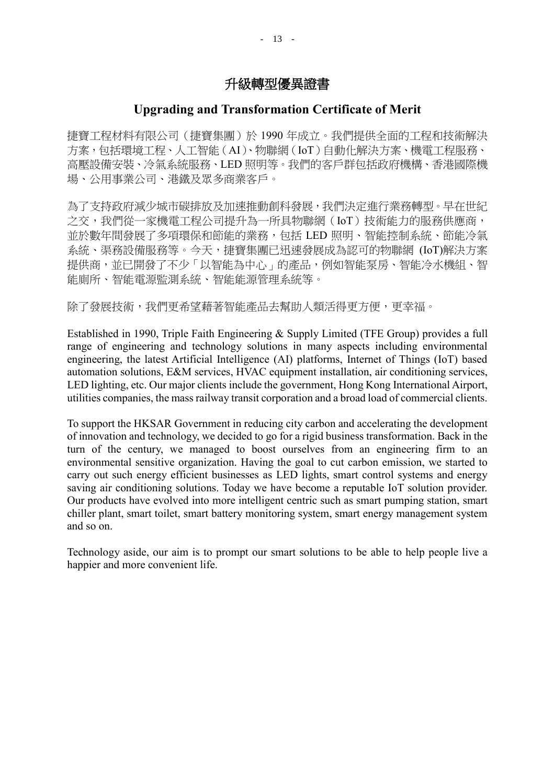### **Upgrading and Transformation Certificate of Merit**

捷寶工程材料有限公司(捷寶集團)於 1990 年成立。我們提供全面的工程和技術解決 方案,包括環境工程、人工智能(AI)、物聯網(IoT)自動化解決方案、機電工程服務、 高壓設備安裝、冷氣系統服務、LED 照明等。我們的客戶群包括政府機構、香港國際機 場、公用事業公司、港鐵及眾多商業客戶。

為了支持政府減少城市碳排放及加速推動創科發展,我們決定進行業務轉型。早在世紀 之交,我們從一家機電工程公司提升為一所具物聯網(IoT)技術能力的服務供應商, 並於數年間發展了多項環保和節能的業務,包括 LED 照明、智能控制系統、節能冷氣 系統、渠務設備服務等。今天,捷寶集團已迅速發展成為認可的物聯網 (IoT)解決方案 提供商,並已開發了不少「以智能為中心」的產品,例如智能泵房、智能冷水機組、智 能廁所、智能電源監測系統、智能能源管理系統等。

除了發展技術,我們更希望藉著智能產品去幫助人類活得更方便,更幸福。

Established in 1990, Triple Faith Engineering & Supply Limited (TFE Group) provides a full range of engineering and technology solutions in many aspects including environmental engineering, the latest Artificial Intelligence (AI) platforms, Internet of Things (IoT) based automation solutions, E&M services, HVAC equipment installation, air conditioning services, LED lighting, etc. Our major clients include the government, Hong Kong International Airport, utilities companies, the mass railway transit corporation and a broad load of commercial clients.

To support the HKSAR Government in reducing city carbon and accelerating the development of innovation and technology, we decided to go for a rigid business transformation. Back in the turn of the century, we managed to boost ourselves from an engineering firm to an environmental sensitive organization. Having the goal to cut carbon emission, we started to carry out such energy efficient businesses as LED lights, smart control systems and energy saving air conditioning solutions. Today we have become a reputable IoT solution provider. Our products have evolved into more intelligent centric such as smart pumping station, smart chiller plant, smart toilet, smart battery monitoring system, smart energy management system and so on.

Technology aside, our aim is to prompt our smart solutions to be able to help people live a happier and more convenient life.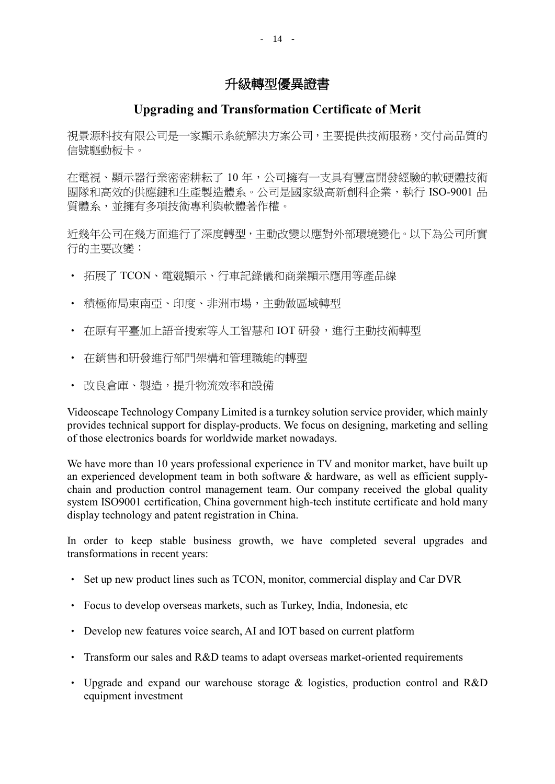# **Upgrading and Transformation Certificate of Merit**

視景源科技有限公司是一家顯示系統解決方案公司,主要提供技術服務,交付高品質的 信號驅動板卡。

在電視、顯示器行業密密耕耘了 10 年,公司擁有一支具有豐富開發經驗的軟硬體技術 團隊和高效的供應鏈和生產製造體系。公司是國家級高新創科企業,執行 ISO-9001 品 質體系,並擁有多項技術專利與軟體著作權。

近幾年公司在幾方面進行了深度轉型,主動改變以應對外部環境變化。以下為公司所實 行的主要改變:

- 拓展了 TCON、電競顯示、行車記錄儀和商業顯示應用等產品線
- 積極佈局東南亞、印度、非洲市場,主動做區域轉型
- 在原有平臺加上語音搜索等人工智慧和 IOT 研發,進行主動技術轉型
- 在銷售和研發進行部門架構和管理職能的轉型
- 改良倉庫、製造,提升物流效率和設備

Videoscape Technology Company Limited is a turnkey solution service provider, which mainly provides technical support for display-products. We focus on designing, marketing and selling of those electronics boards for worldwide market nowadays.

We have more than 10 years professional experience in TV and monitor market, have built up an experienced development team in both software & hardware, as well as efficient supplychain and production control management team. Our company received the global quality system ISO9001 certification, China government high-tech institute certificate and hold many display technology and patent registration in China.

In order to keep stable business growth, we have completed several upgrades and transformations in recent years:

- Set up new product lines such as TCON, monitor, commercial display and Car DVR
- Focus to develop overseas markets, such as Turkey, India, Indonesia, etc
- Develop new features voice search, AI and IOT based on current platform
- Transform our sales and R&D teams to adapt overseas market-oriented requirements
- Upgrade and expand our warehouse storage & logistics, production control and R&D equipment investment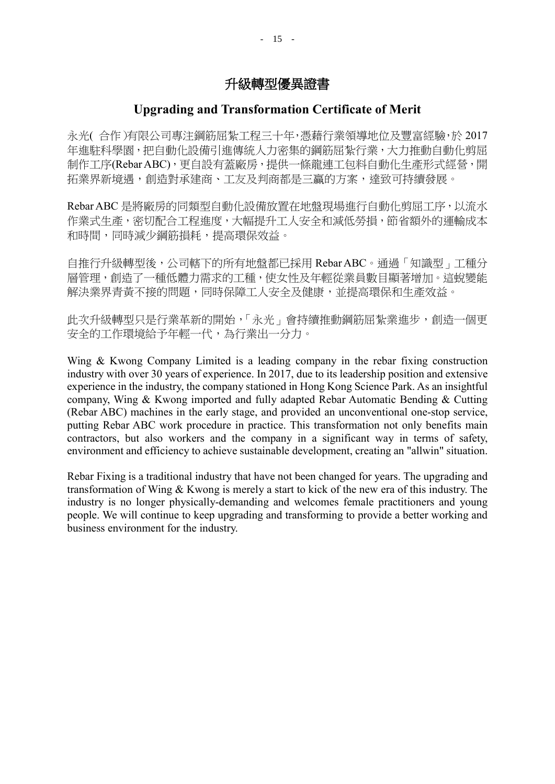### **Upgrading and Transformation Certificate of Merit**

永光( 合作)有限公司專注鋼筋屈紮工程三十年,憑藉行業領導地位及豐富經驗,於 2017 年進駐科學園,把自動化設備引進傳統人力密集的鋼筋屈紮行業,大力推動自動化剪屈 制作工序(Rebar ABC),更自設有蓋廠房,提供一條龍連工包料自動化生產形式經營,開 拓業界新境遇,創造對承建商、工友及判商都是三贏的方案,達致可持續發展。

Rebar ABC 是將廠房的同類型自動化設備放置在地盤現場進行自動化剪屈工序,以流水 作業式生產,密切配合工程進度,大幅提升工人安全和減低勞損,節省額外的運輸成本 和時間,同時減少鋼筋損耗,提高環保效益。

自推行升級轉型後,公司轄下的所有地盤都已採用 Rebar ABC。通過「知識型」工種分 層管理,創造了一種低體力需求的工種,使女性及年輕從業員數目顯著增加。這蛻變能 解決業界青黃不接的問題,同時保障工人安全及健康,並提高環保和生產效益。

此次升級轉型只是行業革新的開始,「永光」會持續推動鋼筋屈紮業進步,創造一個更 安全的工作環境給予年輕一代,為行業出一分力。

Wing & Kwong Company Limited is a leading company in the rebar fixing construction industry with over 30 years of experience. In 2017, due to its leadership position and extensive experience in the industry, the company stationed in Hong Kong Science Park. As an insightful company, Wing & Kwong imported and fully adapted Rebar Automatic Bending & Cutting (Rebar ABC) machines in the early stage, and provided an unconventional one-stop service, putting Rebar ABC work procedure in practice. This transformation not only benefits main contractors, but also workers and the company in a significant way in terms of safety, environment and efficiency to achieve sustainable development, creating an "allwin" situation.

Rebar Fixing is a traditional industry that have not been changed for years. The upgrading and transformation of Wing & Kwong is merely a start to kick of the new era of this industry. The industry is no longer physically-demanding and welcomes female practitioners and young people. We will continue to keep upgrading and transforming to provide a better working and business environment for the industry.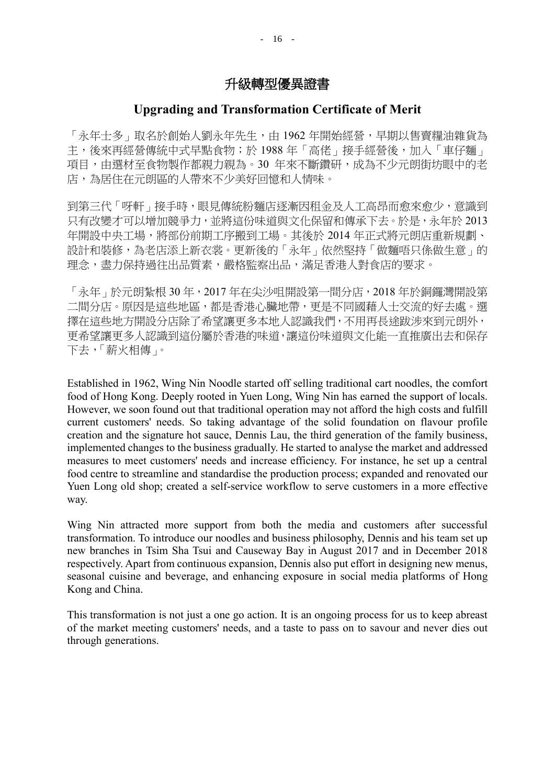### **Upgrading and Transformation Certificate of Merit**

「永年士多」取名於創始人劉永年先生,由 1962 年開始經營,早期以售賣糧油雜貨為 主,後來再經營傳統中式早點食物;於 1988年「高佬」接手經營後,加入「車仔麵」 項目,由選材至食物製作都親力親為。30 年來不斷鑽研,成為不少元朗街坊眼中的老 店,為居住在元朗區的人帶來不少美好回憶和人情味。

到第三代「呀軒」接手時,眼見傳統粉麵店逐漸因租金及人工高昂而愈來愈少,意識到 只有改變才可以增加競爭力,並將這份味道與文化保留和傳承下去。於是,永年於 2013 年開設中央工場,將部份前期工序搬到工場。其後於 2014 年正式將元朗店重新規劃、 設計和裝修,為老店添上新衣裳。更新後的「永年」依然堅持「做麵唔只係做生意」的 理念,盡力保持過往出品質素,嚴格監察出品,滿足香港人對食店的要求。

「永年」於元朗紮根 30 年,2017 年在尖沙咀開設第一間分店,2018 年於銅鑼灣開設第 二間分店。原因是這些地區,都是香港心臟地帶,更是不同國藉人士交流的好去處。選 擇在這些地方開設分店除了希望讓更多本地人認識我們,不用再長途跋涉來到元朗外, 更希望讓更多人認識到這份屬於香港的味道,讓這份味道與文化能一直推廣出去和保存 下去,「薪火相傳」。

Established in 1962, Wing Nin Noodle started off selling traditional cart noodles, the comfort food of Hong Kong. Deeply rooted in Yuen Long, Wing Nin has earned the support of locals. However, we soon found out that traditional operation may not afford the high costs and fulfill current customers' needs. So taking advantage of the solid foundation on flavour profile creation and the signature hot sauce, Dennis Lau, the third generation of the family business, implemented changes to the business gradually. He started to analyse the market and addressed measures to meet customers' needs and increase efficiency. For instance, he set up a central food centre to streamline and standardise the production process; expanded and renovated our Yuen Long old shop; created a self-service workflow to serve customers in a more effective way.

Wing Nin attracted more support from both the media and customers after successful transformation. To introduce our noodles and business philosophy, Dennis and his team set up new branches in Tsim Sha Tsui and Causeway Bay in August 2017 and in December 2018 respectively. Apart from continuous expansion, Dennis also put effort in designing new menus, seasonal cuisine and beverage, and enhancing exposure in social media platforms of Hong Kong and China.

This transformation is not just a one go action. It is an ongoing process for us to keep abreast of the market meeting customers' needs, and a taste to pass on to savour and never dies out through generations.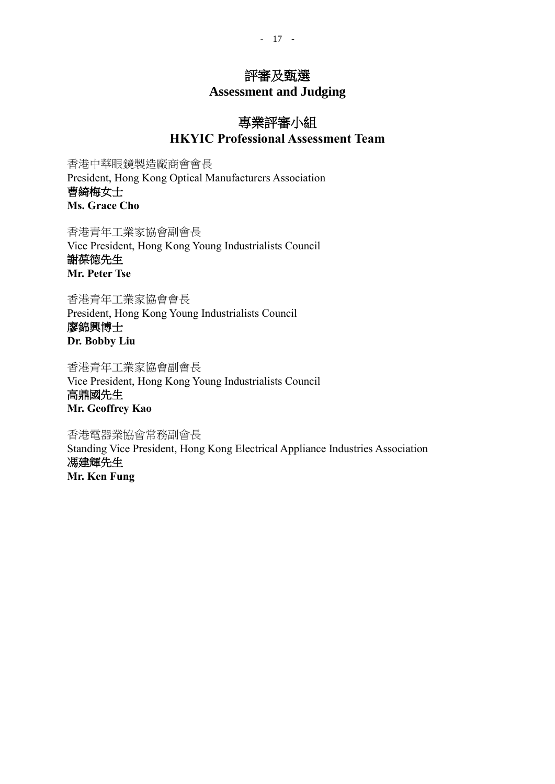# 評審及甄選

**Assessment and Judging**

# 專業評審小組 **HKYIC Professional Assessment Team**

香港中華眼鏡製造廠商會會長 President, Hong Kong Optical Manufacturers Association 曹綺梅女士 **Ms. Grace Cho**

香港青年工業家協會副會長 Vice President, Hong Kong Young Industrialists Council 謝葆德先生 **Mr. Peter Tse**

香港青年工業家協會會長 President, Hong Kong Young Industrialists Council 廖錦興博士 **Dr. Bobby Liu**

香港青年工業家協會副會長 Vice President, Hong Kong Young Industrialists Council

高鼎國先生 **Mr. Geoffrey Kao**

香港電器業協會常務副會長 Standing Vice President, Hong Kong Electrical Appliance Industries Association 馮建輝先生 **Mr. Ken Fung**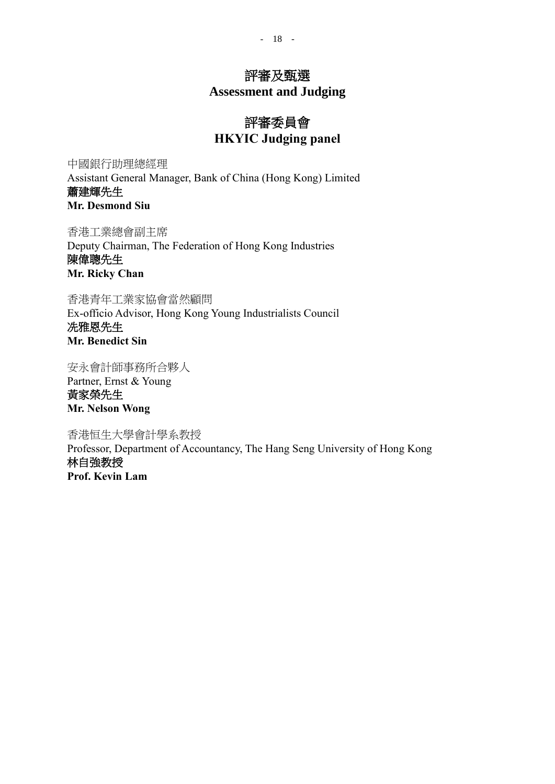- 18 -

### 評審及甄選

**Assessment and Judging**

# 評審委員會 **HKYIC Judging panel**

中國銀行助理總經理 Assistant General Manager, Bank of China (Hong Kong) Limited 蕭建輝先生 **Mr. Desmond Siu**

香港工業總會副主席 Deputy Chairman, The Federation of Hong Kong Industries 陳偉聰先生 **Mr. Ricky Chan**

香港青年工業家協會當然顧問 Ex-officio Advisor, Hong Kong Young Industrialists Council 冼雅恩先生 **Mr. Benedict Sin**

安永會計師事務所合夥人 Partner, Ernst & Young 黃家榮先生 **Mr. Nelson Wong**

香港恒生大學會計學系教授 Professor, Department of Accountancy, The Hang Seng University of Hong Kong 林自強教授

**Prof. Kevin Lam**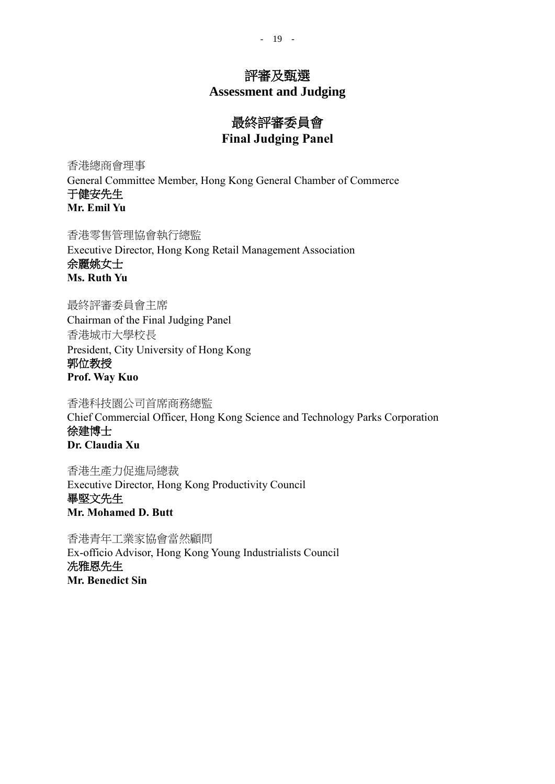### 評審及甄選

**Assessment and Judging**

# 最終評審委員會 **Final Judging Panel**

香港總商會理事

General Committee Member, Hong Kong General Chamber of Commerce 于健安先生 **Mr. Emil Yu**

香港零售管理協會執行總監 Executive Director, Hong Kong Retail Management Association 余麗姚女士 **Ms. Ruth Yu**

最終評審委員會主席 Chairman of the Final Judging Panel 香港城市大學校長 President, City University of Hong Kong 郭位教授 **Prof. Way Kuo**

香港科技園公司首席商務總監 Chief Commercial Officer, Hong Kong Science and Technology Parks Corporation 徐建博士 **Dr. Claudia Xu**

香港生產力促進局總裁 Executive Director, Hong Kong Productivity Council 畢堅文先生 **Mr. Mohamed D. Butt**

香港青年工業家協會當然顧問 Ex-officio Advisor, Hong Kong Young Industrialists Council 冼雅恩先生 **Mr. Benedict Sin**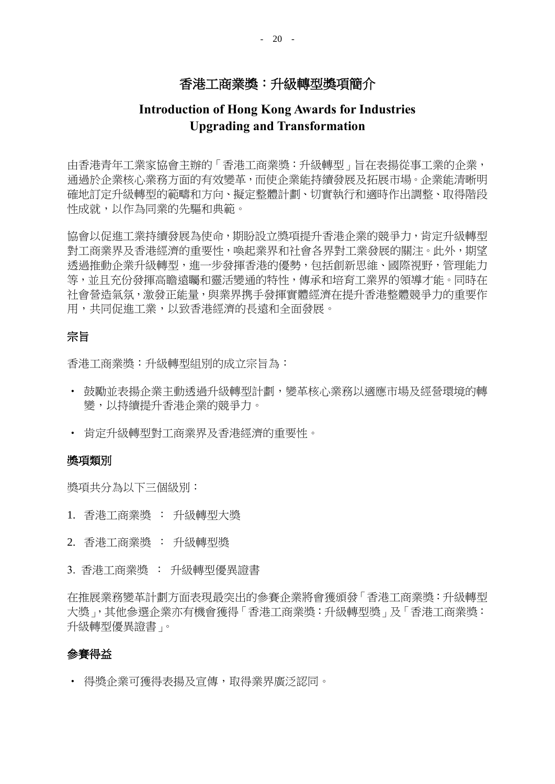### 香港工商業獎:升級轉型獎項簡介

### **Introduction of Hong Kong Awards for Industries Upgrading and Transformation**

由香港青年工業家協會主辦的「香港工商業獎:升級轉型」旨在表揚從事工業的企業, 通過於企業核心業務方面的有效變革,而使企業能持續發展及拓展市場。企業能清晰明 確地訂定升級轉型的範疇和方向、擬定整體計劃、切實執行和適時作出調整、取得階段 性成就,以作為同業的先驅和典範。

協會以促進工業持續發展為使命,期盼設立獎項提升香港企業的競爭力,肯定升級轉型 對工商業界及香港經濟的重要性,喚起業界和社會各界對工業發展的關注。此外,期望 透過推動企業升級轉型,進一步發揮香港的優勢,包括創新思維、國際視野,管理能力 等,並且充份發揮高瞻遠矚和靈活變通的特性,傳承和培育工業界的領導才能。同時在 社會營造氣氛,激發正能量,與業界携手發揮實體經濟在提升香港整體競爭力的重要作 用,共同促進工業,以致香港經濟的長遠和全面發展。

#### 宗旨

香港工商業獎:升級轉型組別的成立宗旨為:

- 鼓勵並表揚企業主動透過升級轉型計劃,變革核心業務以適應市場及經營環境的轉 變,以持續提升香港企業的競爭力。
- 肯定升級轉型對工商業界及香港經濟的重要性。

#### 獎項類別

獎項共分為以下三個級別:

- 1. 香港工商業獎 : 升級轉型大獎
- 2. 香港工商業獎 : 升級轉型獎
- 3. 香港工商業獎 : 升級轉型優異證書

在推展業務變革計劃方面表現最突出的參賽企業將會獲頒發「香港工商業獎:升級轉型 大獎」,其他參選企業亦有機會獲得「香港工商業獎:升級轉型獎」及「香港工商業獎: 升級轉型優異證書」。

### 參賽得益

• 得獎企業可獲得表揚及宣傳,取得業界廣泛認同。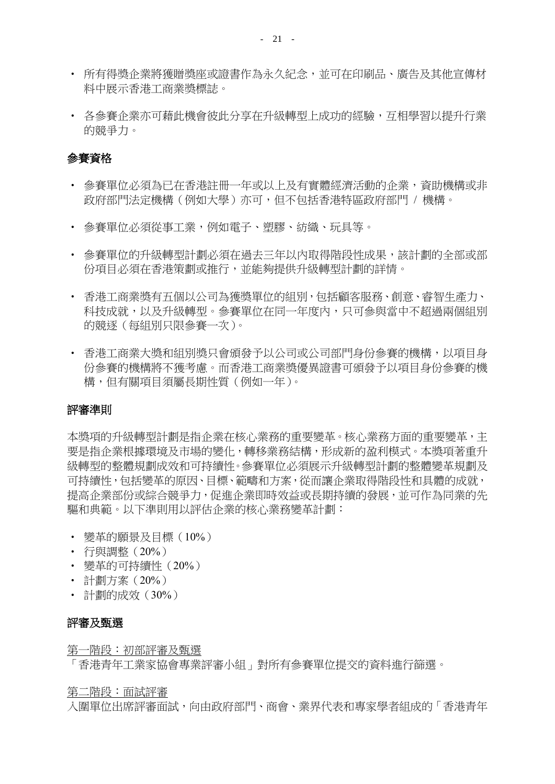- 所有得獎企業將獲贈獎座或證書作為永久紀念,並可在印刷品、廣告及其他宣傳材 料中展示香港工商業獎標誌。
- 各參賽企業亦可藉此機會彼此分享在升級轉型上成功的經驗,互相學習以提升行業 的競爭力。

### 參賽資格

- 參賽單位必須為已在香港註冊一年或以上及有實體經濟活動的企業,資助機構或非 政府部門法定機構(例如大學)亦可,但不包括香港特區政府部門 / 機構。
- 參賽單位必須從事工業,例如電子、塑膠、紡織、玩具等。
- 參賽單位的升級轉型計劃必須在過去三年以內取得階段性成果,該計劃的全部或部 份項目必須在香港策劃或推行,並能夠提供升級轉型計劃的詳情。
- 香港工商業獎有五個以公司為獲獎單位的組別,包括顧客服務、創意、睿智生產力、 科技成就,以及升級轉型。參賽單位在同一年度內,只可參與當中不超過兩個組別 的競逐(每組別只限參賽一次)。
- 香港工商業大獎和組別獎只會頒發予以公司或公司部門身份參賽的機構,以項目身 份參賽的機構將不獲考慮。而香港工商業獎優異證書可頒發予以項目身份參賽的機 構,但有關項目須屬長期性質(例如一年)。

#### 評審準則

本獎項的升級轉型計劃是指企業在核心業務的重要變革。核心業務方面的重要變革,主 要是指企業根據環境及市場的變化,轉移業務結構,形成新的盈利模式。本獎項著重升 級轉型的整體規劃成效和可持續性。參賽單位必須展示升級轉型計劃的整體變革規劃及 可持續性,包括變革的原因、目標、範疇和方案,從而讓企業取得階段性和具體的成就, 提高企業部份或綜合競爭力,促進企業即時效益或長期持續的發展,並可作為同業的先 驅和典範。以下準則用以評估企業的核心業務變革計劃:

- 變革的願景及目標(10%)
- 行與調整(20%)
- 變革的可持續性(20%)
- 計劃方案(20%)
- 計劃的成效(30%)

#### 評審及甄選

第一階段:初部評審及甄選

「香港青年工業家協會專業評審小組」對所有參賽單位提交的資料進行篩選。

第二階段:面試評審

入圍單位出席評審面試,向由政府部門、商會、業界代表和專家學者組成的「香港青年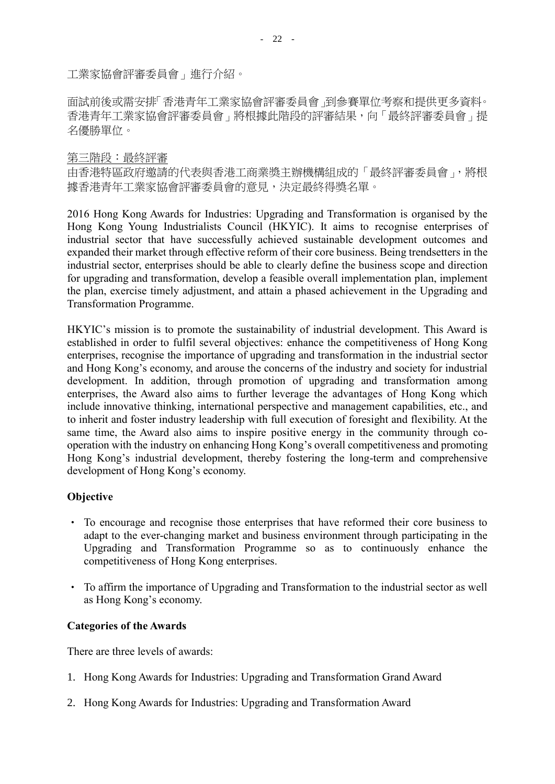工業家協會評審委員會」進行介紹。

面試前後或需安排「香港青年工業家協會評審委員會」到參賽單位考察和提供更多資料。 香港青年工業家協會評審委員會」將根據此階段的評審結果,向「最終評審委員會」提 名優勝單位。

#### 第三階段:最終評審

由香港特區政府邀請的代表與香港工商業獎主辦機構組成的「最終評審委員會」,將根 據香港青年工業家協會評審委員會的意見,決定最終得獎名單。

2016 Hong Kong Awards for Industries: Upgrading and Transformation is organised by the Hong Kong Young Industrialists Council (HKYIC). It aims to recognise enterprises of industrial sector that have successfully achieved sustainable development outcomes and expanded their market through effective reform of their core business. Being trendsetters in the industrial sector, enterprises should be able to clearly define the business scope and direction for upgrading and transformation, develop a feasible overall implementation plan, implement the plan, exercise timely adjustment, and attain a phased achievement in the Upgrading and Transformation Programme.

HKYIC's mission is to promote the sustainability of industrial development. This Award is established in order to fulfil several objectives: enhance the competitiveness of Hong Kong enterprises, recognise the importance of upgrading and transformation in the industrial sector and Hong Kong's economy, and arouse the concerns of the industry and society for industrial development. In addition, through promotion of upgrading and transformation among enterprises, the Award also aims to further leverage the advantages of Hong Kong which include innovative thinking, international perspective and management capabilities, etc., and to inherit and foster industry leadership with full execution of foresight and flexibility. At the same time, the Award also aims to inspire positive energy in the community through cooperation with the industry on enhancing Hong Kong's overall competitiveness and promoting Hong Kong's industrial development, thereby fostering the long-term and comprehensive development of Hong Kong's economy.

### **Objective**

- To encourage and recognise those enterprises that have reformed their core business to adapt to the ever-changing market and business environment through participating in the Upgrading and Transformation Programme so as to continuously enhance the competitiveness of Hong Kong enterprises.
- To affirm the importance of Upgrading and Transformation to the industrial sector as well as Hong Kong's economy.

#### **Categories of the Awards**

There are three levels of awards:

- 1. Hong Kong Awards for Industries: Upgrading and Transformation Grand Award
- 2. Hong Kong Awards for Industries: Upgrading and Transformation Award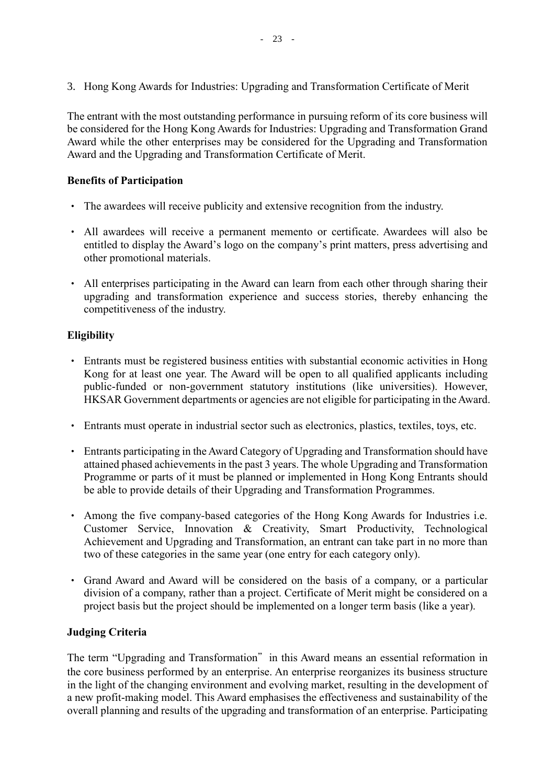3. Hong Kong Awards for Industries: Upgrading and Transformation Certificate of Merit

The entrant with the most outstanding performance in pursuing reform of its core business will be considered for the Hong Kong Awards for Industries: Upgrading and Transformation Grand Award while the other enterprises may be considered for the Upgrading and Transformation Award and the Upgrading and Transformation Certificate of Merit.

#### **Benefits of Participation**

- The awardees will receive publicity and extensive recognition from the industry.
- All awardees will receive a permanent memento or certificate. Awardees will also be entitled to display the Award's logo on the company's print matters, press advertising and other promotional materials.
- All enterprises participating in the Award can learn from each other through sharing their upgrading and transformation experience and success stories, thereby enhancing the competitiveness of the industry.

#### **Eligibility**

- Entrants must be registered business entities with substantial economic activities in Hong Kong for at least one year. The Award will be open to all qualified applicants including public-funded or non-government statutory institutions (like universities). However, HKSAR Government departments or agencies are not eligible for participating in the Award.
- Entrants must operate in industrial sector such as electronics, plastics, textiles, toys, etc.
- Entrants participating in the Award Category of Upgrading and Transformation should have attained phased achievements in the past 3 years. The whole Upgrading and Transformation Programme or parts of it must be planned or implemented in Hong Kong Entrants should be able to provide details of their Upgrading and Transformation Programmes.
- Among the five company-based categories of the Hong Kong Awards for Industries i.e. Customer Service, Innovation & Creativity, Smart Productivity, Technological Achievement and Upgrading and Transformation, an entrant can take part in no more than two of these categories in the same year (one entry for each category only).
- Grand Award and Award will be considered on the basis of a company, or a particular division of a company, rather than a project. Certificate of Merit might be considered on a project basis but the project should be implemented on a longer term basis (like a year).

#### **Judging Criteria**

The term "Upgrading and Transformation" in this Award means an essential reformation in the core business performed by an enterprise. An enterprise reorganizes its business structure in the light of the changing environment and evolving market, resulting in the development of a new profit-making model. This Award emphasises the effectiveness and sustainability of the overall planning and results of the upgrading and transformation of an enterprise. Participating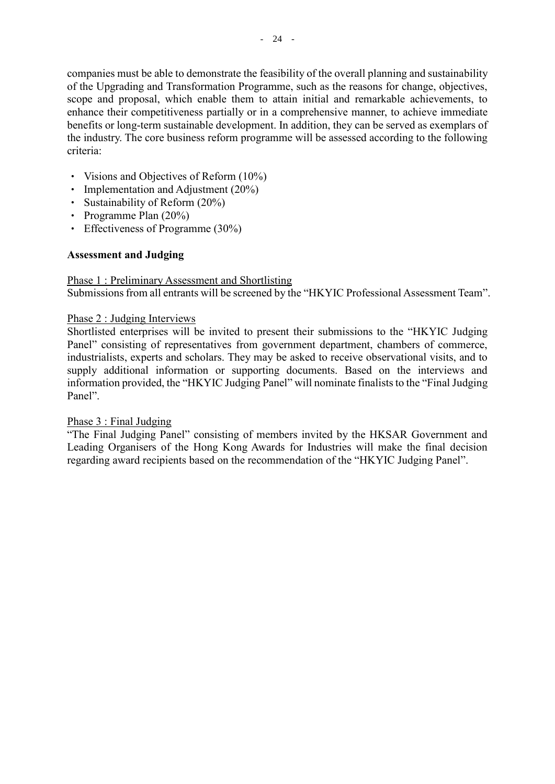companies must be able to demonstrate the feasibility of the overall planning and sustainability of the Upgrading and Transformation Programme, such as the reasons for change, objectives, scope and proposal, which enable them to attain initial and remarkable achievements, to enhance their competitiveness partially or in a comprehensive manner, to achieve immediate benefits or long-term sustainable development. In addition, they can be served as exemplars of the industry. The core business reform programme will be assessed according to the following criteria:

- Visions and Objectives of Reform (10%)
- Implementation and Adjustment (20%)
- Sustainability of Reform (20%)
- Programme Plan (20%)
- Effectiveness of Programme (30%)

### **Assessment and Judging**

# Phase 1 : Preliminary Assessment and Shortlisting

Submissions from all entrants will be screened by the "HKYIC Professional Assessment Team".

#### Phase 2 : Judging Interviews

Shortlisted enterprises will be invited to present their submissions to the "HKYIC Judging Panel" consisting of representatives from government department, chambers of commerce, industrialists, experts and scholars. They may be asked to receive observational visits, and to supply additional information or supporting documents. Based on the interviews and information provided, the "HKYIC Judging Panel" will nominate finalists to the "Final Judging Panel".

### Phase 3 : Final Judging

"The Final Judging Panel" consisting of members invited by the HKSAR Government and Leading Organisers of the Hong Kong Awards for Industries will make the final decision regarding award recipients based on the recommendation of the "HKYIC Judging Panel".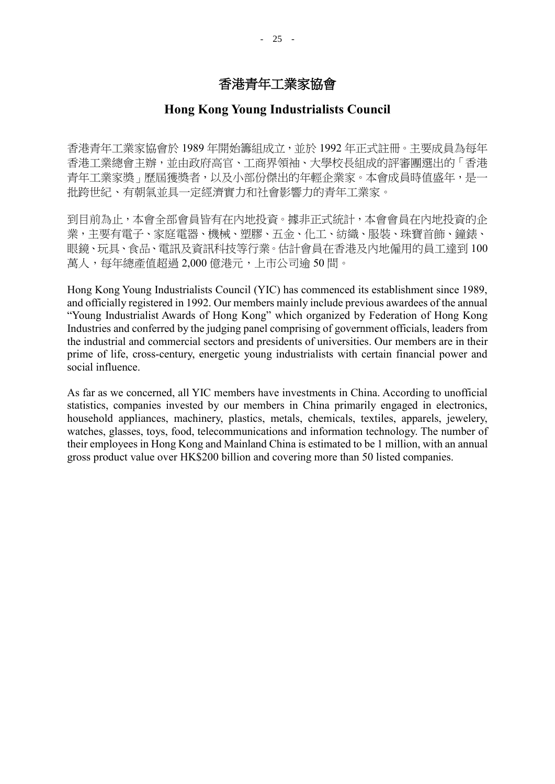## 香港青年工業家協會

### **Hong Kong Young Industrialists Council**

香港青年工業家協會於 1989 年開始籌組成立,並於 1992 年正式註冊。主要成員為每年 香港工業總會主辦,並由政府高官、工商界領袖、大學校長組成的評審團選出的「香港 青年工業家獎」歷屆獲獎者,以及小部份傑出的年輕企業家。本會成員時值盛年,是一 批跨世紀、有朝氣並具一定經濟實力和社會影響力的青年工業家。

到目前為止,本會全部會員皆有在內地投資。據非正式統計,本會會員在內地投資的企 業,主要有電子、家庭電器、機械、塑膠、五金、化工、紡織、服裝、珠寶首飾、鐘錶、 眼鏡、玩具、食品、電訊及資訊科技等行業。估計會員在香港及內地僱用的員工達到 100 萬人,每年總產值超過 2,000億港元,上市公司逾50間。

Hong Kong Young Industrialists Council (YIC) has commenced its establishment since 1989, and officially registered in 1992. Our members mainly include previous awardees of the annual "Young Industrialist Awards of Hong Kong" which organized by Federation of Hong Kong Industries and conferred by the judging panel comprising of government officials, leaders from the industrial and commercial sectors and presidents of universities. Our members are in their prime of life, cross-century, energetic young industrialists with certain financial power and social influence.

As far as we concerned, all YIC members have investments in China. According to unofficial statistics, companies invested by our members in China primarily engaged in electronics, household appliances, machinery, plastics, metals, chemicals, textiles, apparels, jewelery, watches, glasses, toys, food, telecommunications and information technology. The number of their employees in Hong Kong and Mainland China is estimated to be 1 million, with an annual gross product value over HK\$200 billion and covering more than 50 listed companies.